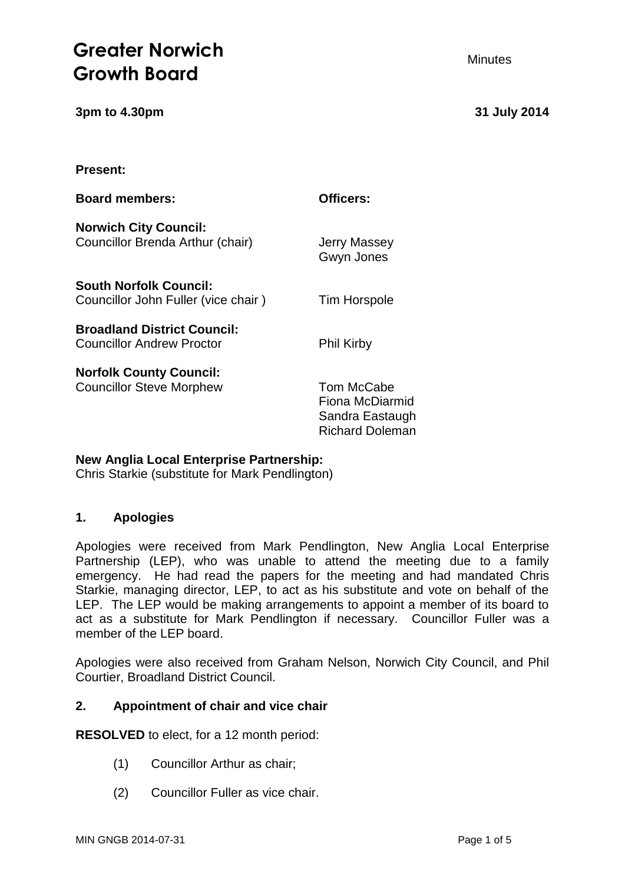# **Greater Norwich Growth Board**

**3pm to 4.30pm 31 July 2014**

#### **Minutes**

**Present:**

| <b>Board members:</b>                                                  | Officers:                                                                  |
|------------------------------------------------------------------------|----------------------------------------------------------------------------|
| <b>Norwich City Council:</b><br>Councillor Brenda Arthur (chair)       | Jerry Massey<br>Gwyn Jones                                                 |
| <b>South Norfolk Council:</b><br>Councillor John Fuller (vice chair)   | <b>Tim Horspole</b>                                                        |
| <b>Broadland District Council:</b><br><b>Councillor Andrew Proctor</b> | <b>Phil Kirby</b>                                                          |
| <b>Norfolk County Council:</b><br><b>Councillor Steve Morphew</b>      | Tom McCabe<br>Fiona McDiarmid<br>Sandra Eastaugh<br><b>Richard Doleman</b> |

# **New Anglia Local Enterprise Partnership:**

Chris Starkie (substitute for Mark Pendlington)

# **1. Apologies**

Apologies were received from Mark Pendlington, New Anglia Local Enterprise Partnership (LEP), who was unable to attend the meeting due to a family emergency. He had read the papers for the meeting and had mandated Chris Starkie, managing director, LEP, to act as his substitute and vote on behalf of the LEP. The LEP would be making arrangements to appoint a member of its board to act as a substitute for Mark Pendlington if necessary. Councillor Fuller was a member of the LEP board.

Apologies were also received from Graham Nelson, Norwich City Council, and Phil Courtier, Broadland District Council.

#### **2. Appointment of chair and vice chair**

**RESOLVED** to elect, for a 12 month period:

- (1) Councillor Arthur as chair;
- (2) Councillor Fuller as vice chair.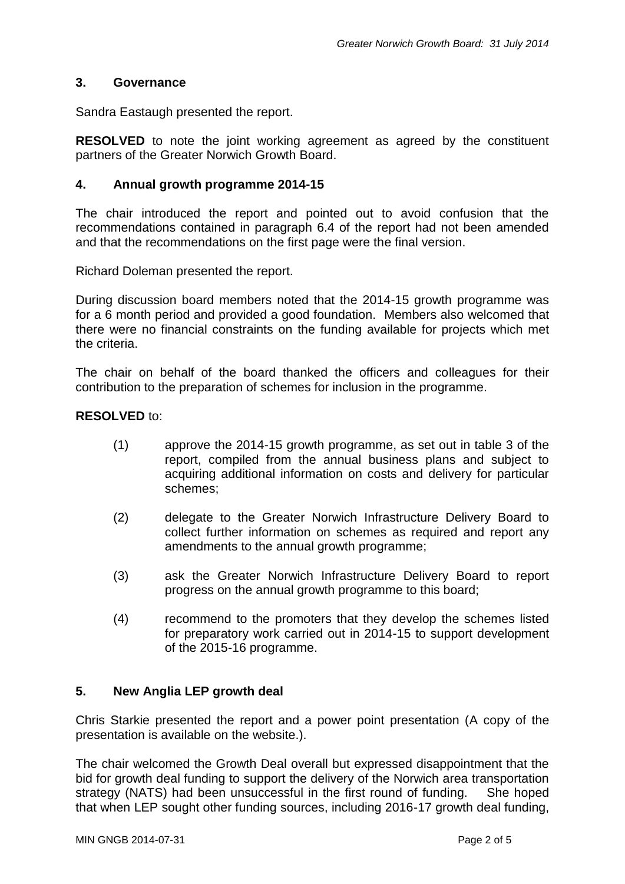#### **3. Governance**

Sandra Eastaugh presented the report.

**RESOLVED** to note the joint working agreement as agreed by the constituent partners of the Greater Norwich Growth Board.

#### **4. Annual growth programme 2014-15**

The chair introduced the report and pointed out to avoid confusion that the recommendations contained in paragraph 6.4 of the report had not been amended and that the recommendations on the first page were the final version.

Richard Doleman presented the report.

During discussion board members noted that the 2014-15 growth programme was for a 6 month period and provided a good foundation. Members also welcomed that there were no financial constraints on the funding available for projects which met the criteria.

The chair on behalf of the board thanked the officers and colleagues for their contribution to the preparation of schemes for inclusion in the programme.

#### **RESOLVED** to:

- (1) approve the 2014-15 growth programme, as set out in table 3 of the report, compiled from the annual business plans and subject to acquiring additional information on costs and delivery for particular schemes;
- (2) delegate to the Greater Norwich Infrastructure Delivery Board to collect further information on schemes as required and report any amendments to the annual growth programme;
- (3) ask the Greater Norwich Infrastructure Delivery Board to report progress on the annual growth programme to this board;
- (4) recommend to the promoters that they develop the schemes listed for preparatory work carried out in 2014-15 to support development of the 2015-16 programme.

#### **5. New Anglia LEP growth deal**

Chris Starkie presented the report and a power point presentation (A copy of the presentation is available on the website.).

The chair welcomed the Growth Deal overall but expressed disappointment that the bid for growth deal funding to support the delivery of the Norwich area transportation strategy (NATS) had been unsuccessful in the first round of funding. She hoped that when LEP sought other funding sources, including 2016-17 growth deal funding,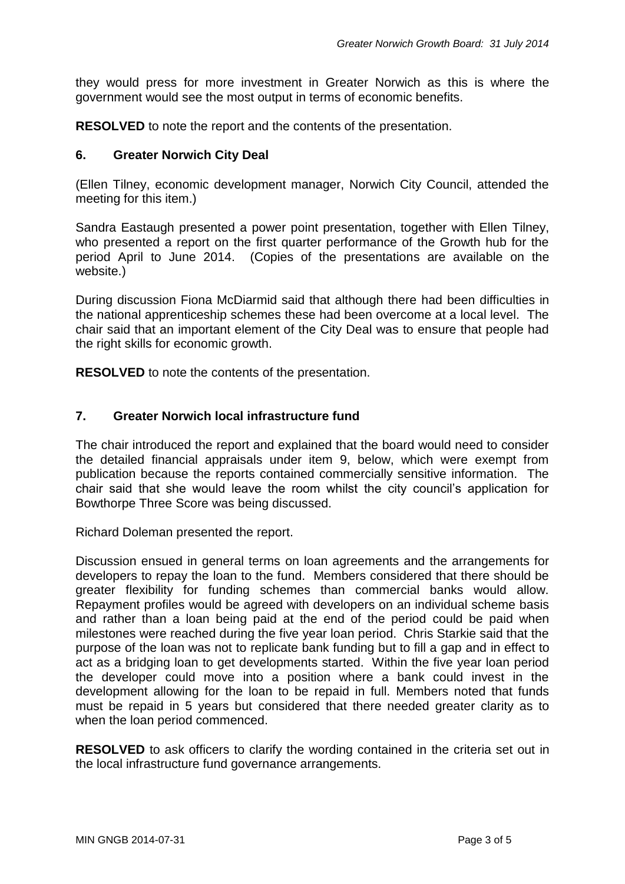they would press for more investment in Greater Norwich as this is where the government would see the most output in terms of economic benefits.

**RESOLVED** to note the report and the contents of the presentation.

#### **6. Greater Norwich City Deal**

(Ellen Tilney, economic development manager, Norwich City Council, attended the meeting for this item.)

Sandra Eastaugh presented a power point presentation, together with Ellen Tilney, who presented a report on the first quarter performance of the Growth hub for the period April to June 2014. (Copies of the presentations are available on the website.)

During discussion Fiona McDiarmid said that although there had been difficulties in the national apprenticeship schemes these had been overcome at a local level. The chair said that an important element of the City Deal was to ensure that people had the right skills for economic growth.

**RESOLVED** to note the contents of the presentation.

#### **7. Greater Norwich local infrastructure fund**

The chair introduced the report and explained that the board would need to consider the detailed financial appraisals under item 9, below, which were exempt from publication because the reports contained commercially sensitive information. The chair said that she would leave the room whilst the city council's application for Bowthorpe Three Score was being discussed.

Richard Doleman presented the report.

Discussion ensued in general terms on loan agreements and the arrangements for developers to repay the loan to the fund. Members considered that there should be greater flexibility for funding schemes than commercial banks would allow. Repayment profiles would be agreed with developers on an individual scheme basis and rather than a loan being paid at the end of the period could be paid when milestones were reached during the five year loan period. Chris Starkie said that the purpose of the loan was not to replicate bank funding but to fill a gap and in effect to act as a bridging loan to get developments started. Within the five year loan period the developer could move into a position where a bank could invest in the development allowing for the loan to be repaid in full. Members noted that funds must be repaid in 5 years but considered that there needed greater clarity as to when the loan period commenced.

**RESOLVED** to ask officers to clarify the wording contained in the criteria set out in the local infrastructure fund governance arrangements.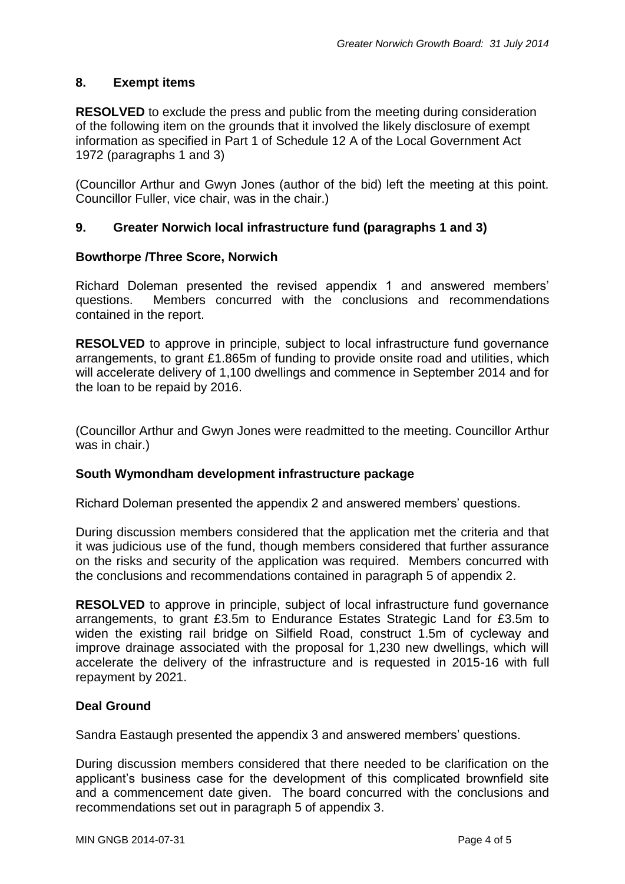## **8. Exempt items**

**RESOLVED** to exclude the press and public from the meeting during consideration of the following item on the grounds that it involved the likely disclosure of exempt information as specified in Part 1 of Schedule 12 A of the Local Government Act 1972 (paragraphs 1 and 3)

(Councillor Arthur and Gwyn Jones (author of the bid) left the meeting at this point. Councillor Fuller, vice chair, was in the chair.)

## **9. Greater Norwich local infrastructure fund (paragraphs 1 and 3)**

#### **Bowthorpe /Three Score, Norwich**

Richard Doleman presented the revised appendix 1 and answered members' questions. Members concurred with the conclusions and recommendations contained in the report.

**RESOLVED** to approve in principle, subject to local infrastructure fund governance arrangements, to grant £1.865m of funding to provide onsite road and utilities, which will accelerate delivery of 1,100 dwellings and commence in September 2014 and for the loan to be repaid by 2016.

(Councillor Arthur and Gwyn Jones were readmitted to the meeting. Councillor Arthur was in chair.)

#### **South Wymondham development infrastructure package**

Richard Doleman presented the appendix 2 and answered members' questions.

During discussion members considered that the application met the criteria and that it was judicious use of the fund, though members considered that further assurance on the risks and security of the application was required. Members concurred with the conclusions and recommendations contained in paragraph 5 of appendix 2.

**RESOLVED** to approve in principle, subject of local infrastructure fund governance arrangements, to grant £3.5m to Endurance Estates Strategic Land for £3.5m to widen the existing rail bridge on Silfield Road, construct 1.5m of cycleway and improve drainage associated with the proposal for 1,230 new dwellings, which will accelerate the delivery of the infrastructure and is requested in 2015-16 with full repayment by 2021.

#### **Deal Ground**

Sandra Eastaugh presented the appendix 3 and answered members' questions.

During discussion members considered that there needed to be clarification on the applicant's business case for the development of this complicated brownfield site and a commencement date given. The board concurred with the conclusions and recommendations set out in paragraph 5 of appendix 3.